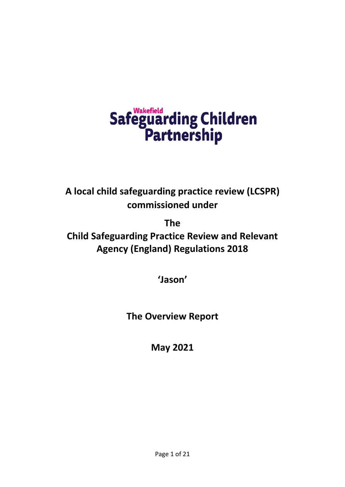# Safeguarding Children<br>Partnership

**A local child safeguarding practice review (LCSPR) commissioned under** 

**The**

**Child Safeguarding Practice Review and Relevant Agency (England) Regulations 2018**

**'Jason'**

**The Overview Report**

**May 2021**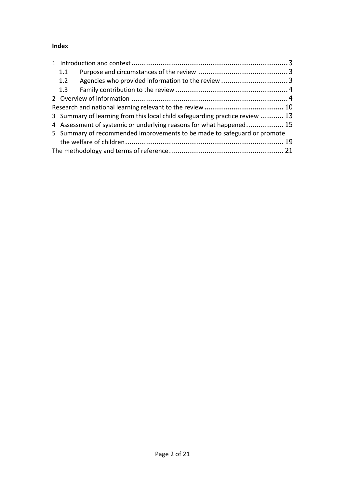# **Index**

|  | 1.1                                                                      |                                                                              |  |
|--|--------------------------------------------------------------------------|------------------------------------------------------------------------------|--|
|  | 1.2                                                                      |                                                                              |  |
|  | 1.3                                                                      |                                                                              |  |
|  |                                                                          |                                                                              |  |
|  |                                                                          |                                                                              |  |
|  |                                                                          | 3 Summary of learning from this local child safeguarding practice review  13 |  |
|  | 4 Assessment of systemic or underlying reasons for what happened 15      |                                                                              |  |
|  | 5 Summary of recommended improvements to be made to safeguard or promote |                                                                              |  |
|  |                                                                          |                                                                              |  |
|  |                                                                          |                                                                              |  |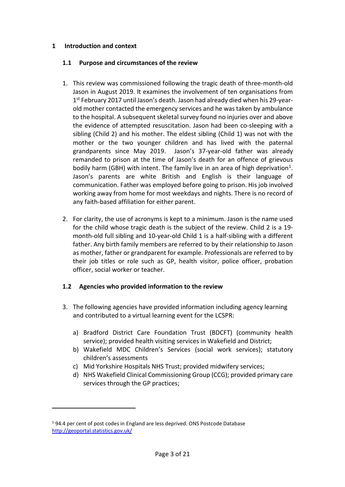### <span id="page-2-0"></span>**1 Introduction and context**

### <span id="page-2-1"></span>**1.1 Purpose and circumstances of the review**

- 1. This review was commissioned following the tragic death of three-month-old Jason in August 2019. It examines the involvement of ten organisations from 1<sup>st</sup> February 2017 until Jason's death. Jason had already died when his 29-yearold mother contacted the emergency services and he was taken by ambulance to the hospital. A subsequent skeletal survey found no injuries over and above the evidence of attempted resuscitation. Jason had been co-sleeping with a sibling (Child 2) and his mother. The eldest sibling (Child 1) was not with the mother or the two younger children and has lived with the paternal grandparents since May 2019. Jason's 37-year-old father was already remanded to prison at the time of Jason's death for an offence of grievous bodily harm (GBH) with intent. The family live in an area of high deprivation<sup>1</sup>. Jason's parents are white British and English is their language of communication. Father was employed before going to prison. His job involved working away from home for most weekdays and nights. There is no record of any faith-based affiliation for either parent.
- 2. For clarity, the use of acronyms is kept to a minimum. Jason is the name used for the child whose tragic death is the subject of the review. Child 2 is a 19 month-old full sibling and 10-year-old Child 1 is a half-sibling with a different father. Any birth family members are referred to by their relationship to Jason as mother, father or grandparent for example. Professionals are referred to by their job titles or role such as GP, health visitor, police officer, probation officer, social worker or teacher.

# <span id="page-2-2"></span>**1.2 Agencies who provided information to the review**

- 3. The following agencies have provided information including agency learning and contributed to a virtual learning event for the LCSPR:
	- a) Bradford District Care Foundation Trust (BDCFT) (community health service); provided health visiting services in Wakefield and District;
	- b) Wakefield MDC Children's Services (social work services); statutory children's assessments
	- c) Mid Yorkshire Hospitals NHS Trust; provided midwifery services;
	- d) NHS Wakefield Clinical Commissioning Group (CCG); provided primary care services through the GP practices;

<sup>1</sup> 94.4 per cent of post codes in England are less deprived. ONS Postcode Database <http://geoportal.statistics.gov.uk/>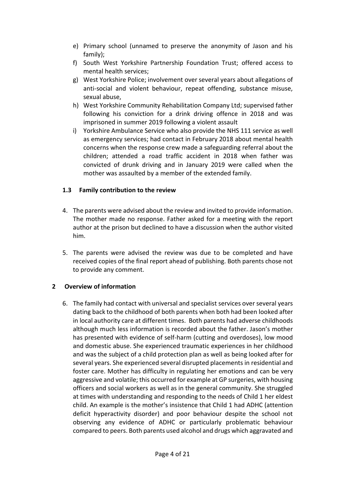- e) Primary school (unnamed to preserve the anonymity of Jason and his family);
- f) South West Yorkshire Partnership Foundation Trust; offered access to mental health services;
- g) West Yorkshire Police; involvement over several years about allegations of anti-social and violent behaviour, repeat offending, substance misuse, sexual abuse,
- h) West Yorkshire Community Rehabilitation Company Ltd; supervised father following his conviction for a drink driving offence in 2018 and was imprisoned in summer 2019 following a violent assault
- i) Yorkshire Ambulance Service who also provide the NHS 111 service as well as emergency services; had contact in February 2018 about mental health concerns when the response crew made a safeguarding referral about the children; attended a road traffic accident in 2018 when father was convicted of drunk driving and in January 2019 were called when the mother was assaulted by a member of the extended family.

## <span id="page-3-0"></span>**1.3 Family contribution to the review**

- 4. The parents were advised about the review and invited to provide information. The mother made no response. Father asked for a meeting with the report author at the prison but declined to have a discussion when the author visited him.
- 5. The parents were advised the review was due to be completed and have received copies of the final report ahead of publishing. Both parents chose not to provide any comment.

### <span id="page-3-1"></span>**2 Overview of information**

6. The family had contact with universal and specialist services over several years dating back to the childhood of both parents when both had been looked after in local authority care at different times. Both parents had adverse childhoods although much less information is recorded about the father. Jason's mother has presented with evidence of self-harm (cutting and overdoses), low mood and domestic abuse. She experienced traumatic experiences in her childhood and was the subject of a child protection plan as well as being looked after for several years. She experienced several disrupted placements in residential and foster care. Mother has difficulty in regulating her emotions and can be very aggressive and volatile; this occurred for example at GP surgeries, with housing officers and social workers as well as in the general community. She struggled at times with understanding and responding to the needs of Child 1 her eldest child. An example is the mother's insistence that Child 1 had ADHC (attention deficit hyperactivity disorder) and poor behaviour despite the school not observing any evidence of ADHC or particularly problematic behaviour compared to peers. Both parents used alcohol and drugs which aggravated and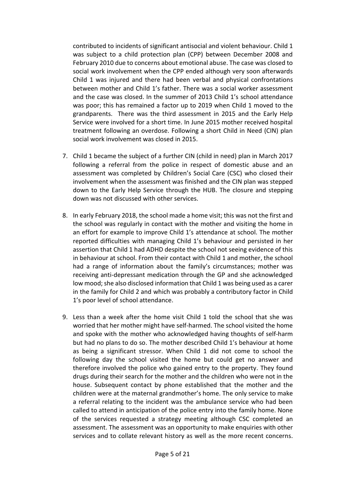contributed to incidents of significant antisocial and violent behaviour. Child 1 was subject to a child protection plan (CPP) between December 2008 and February 2010 due to concerns about emotional abuse. The case was closed to social work involvement when the CPP ended although very soon afterwards Child 1 was injured and there had been verbal and physical confrontations between mother and Child 1's father. There was a social worker assessment and the case was closed. In the summer of 2013 Child 1's school attendance was poor; this has remained a factor up to 2019 when Child 1 moved to the grandparents. There was the third assessment in 2015 and the Early Help Service were involved for a short time. In June 2015 mother received hospital treatment following an overdose. Following a short Child in Need (CIN) plan social work involvement was closed in 2015.

- 7. Child 1 became the subject of a further CIN (child in need) plan in March 2017 following a referral from the police in respect of domestic abuse and an assessment was completed by Children's Social Care (CSC) who closed their involvement when the assessment was finished and the CIN plan was stepped down to the Early Help Service through the HUB. The closure and stepping down was not discussed with other services.
- 8. In early February 2018, the school made a home visit; this was not the first and the school was regularly in contact with the mother and visiting the home in an effort for example to improve Child 1's attendance at school. The mother reported difficulties with managing Child 1's behaviour and persisted in her assertion that Child 1 had ADHD despite the school not seeing evidence of this in behaviour at school. From their contact with Child 1 and mother, the school had a range of information about the family's circumstances; mother was receiving anti-depressant medication through the GP and she acknowledged low mood; she also disclosed information that Child 1 was being used as a carer in the family for Child 2 and which was probably a contributory factor in Child 1's poor level of school attendance.
- 9. Less than a week after the home visit Child 1 told the school that she was worried that her mother might have self-harmed. The school visited the home and spoke with the mother who acknowledged having thoughts of self-harm but had no plans to do so. The mother described Child 1's behaviour at home as being a significant stressor. When Child 1 did not come to school the following day the school visited the home but could get no answer and therefore involved the police who gained entry to the property. They found drugs during their search for the mother and the children who were not in the house. Subsequent contact by phone established that the mother and the children were at the maternal grandmother's home. The only service to make a referral relating to the incident was the ambulance service who had been called to attend in anticipation of the police entry into the family home. None of the services requested a strategy meeting although CSC completed an assessment. The assessment was an opportunity to make enquiries with other services and to collate relevant history as well as the more recent concerns.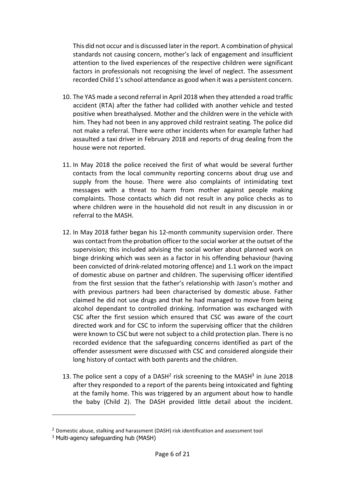This did not occur and is discussed later in the report. A combination of physical standards not causing concern, mother's lack of engagement and insufficient attention to the lived experiences of the respective children were significant factors in professionals not recognising the level of neglect. The assessment recorded Child 1's school attendance as good when it was a persistent concern.

- 10. The YAS made a second referral in April 2018 when they attended a road traffic accident (RTA) after the father had collided with another vehicle and tested positive when breathalysed. Mother and the children were in the vehicle with him. They had not been in any approved child restraint seating. The police did not make a referral. There were other incidents when for example father had assaulted a taxi driver in February 2018 and reports of drug dealing from the house were not reported.
- 11. In May 2018 the police received the first of what would be several further contacts from the local community reporting concerns about drug use and supply from the house. There were also complaints of intimidating text messages with a threat to harm from mother against people making complaints. Those contacts which did not result in any police checks as to where children were in the household did not result in any discussion in or referral to the MASH.
- 12. In May 2018 father began his 12-month community supervision order. There was contact from the probation officer to the social worker at the outset of the supervision; this included advising the social worker about planned work on binge drinking which was seen as a factor in his offending behaviour (having been convicted of drink-related motoring offence) and 1.1 work on the impact of domestic abuse on partner and children. The supervising officer identified from the first session that the father's relationship with Jason's mother and with previous partners had been characterised by domestic abuse. Father claimed he did not use drugs and that he had managed to move from being alcohol dependant to controlled drinking. Information was exchanged with CSC after the first session which ensured that CSC was aware of the court directed work and for CSC to inform the supervising officer that the children were known to CSC but were not subject to a child protection plan. There is no recorded evidence that the safeguarding concerns identified as part of the offender assessment were discussed with CSC and considered alongside their long history of contact with both parents and the children.
- 13. The police sent a copy of a DASH<sup>2</sup> risk screening to the MASH<sup>3</sup> in June 2018 after they responded to a report of the parents being intoxicated and fighting at the family home. This was triggered by an argument about how to handle the baby (Child 2). The DASH provided little detail about the incident.

<sup>&</sup>lt;sup>2</sup> Domestic abuse, stalking and harassment (DASH) risk identification and assessment tool

<sup>3</sup> Multi-agency safeguarding hub (MASH)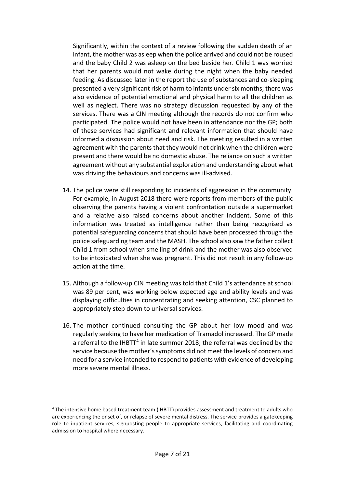Significantly, within the context of a review following the sudden death of an infant, the mother was asleep when the police arrived and could not be roused and the baby Child 2 was asleep on the bed beside her. Child 1 was worried that her parents would not wake during the night when the baby needed feeding. As discussed later in the report the use of substances and co-sleeping presented a very significant risk of harm to infants under six months; there was also evidence of potential emotional and physical harm to all the children as well as neglect. There was no strategy discussion requested by any of the services. There was a CIN meeting although the records do not confirm who participated. The police would not have been in attendance nor the GP; both of these services had significant and relevant information that should have informed a discussion about need and risk. The meeting resulted in a written agreement with the parents that they would not drink when the children were present and there would be no domestic abuse. The reliance on such a written agreement without any substantial exploration and understanding about what was driving the behaviours and concerns was ill-advised.

- 14. The police were still responding to incidents of aggression in the community. For example, in August 2018 there were reports from members of the public observing the parents having a violent confrontation outside a supermarket and a relative also raised concerns about another incident. Some of this information was treated as intelligence rather than being recognised as potential safeguarding concerns that should have been processed through the police safeguarding team and the MASH. The school also saw the father collect Child 1 from school when smelling of drink and the mother was also observed to be intoxicated when she was pregnant. This did not result in any follow-up action at the time.
- 15. Although a follow-up CIN meeting was told that Child 1's attendance at school was 89 per cent, was working below expected age and ability levels and was displaying difficulties in concentrating and seeking attention, CSC planned to appropriately step down to universal services.
- 16. The mother continued consulting the GP about her low mood and was regularly seeking to have her medication of Tramadol increased. The GP made a referral to the IHBTT<sup>4</sup> in late summer 2018; the referral was declined by the service because the mother's symptoms did not meet the levels of concern and need for a service intended to respond to patients with evidence of developing more severe mental illness.

<sup>&</sup>lt;sup>4</sup> The intensive home based treatment team (IHBTT) provides assessment and treatment to adults who are experiencing the onset of, or relapse of severe mental distress. The service provides a gatekeeping role to inpatient services, signposting people to appropriate services, facilitating and coordinating admission to hospital where necessary.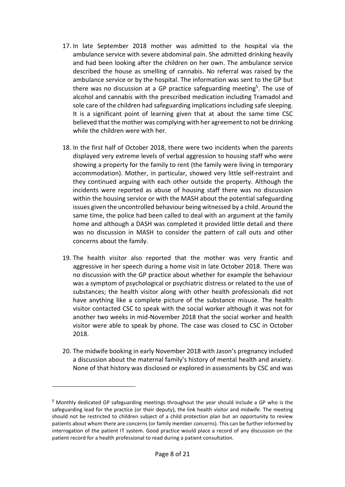- 17. In late September 2018 mother was admitted to the hospital via the ambulance service with severe abdominal pain. She admitted drinking heavily and had been looking after the children on her own. The ambulance service described the house as smelling of cannabis. No referral was raised by the ambulance service or by the hospital. The information was sent to the GP but there was no discussion at a GP practice safeguarding meeting<sup>5</sup>. The use of alcohol and cannabis with the prescribed medication including Tramadol and sole care of the children had safeguarding implications including safe sleeping. It is a significant point of learning given that at about the same time CSC believed that the mother was complying with her agreement to not be drinking while the children were with her.
- 18. In the first half of October 2018, there were two incidents when the parents displayed very extreme levels of verbal aggression to housing staff who were showing a property for the family to rent (the family were living in temporary accommodation). Mother, in particular, showed very little self-restraint and they continued arguing with each other outside the property. Although the incidents were reported as abuse of housing staff there was no discussion within the housing service or with the MASH about the potential safeguarding issues given the uncontrolled behaviour being witnessed by a child. Around the same time, the police had been called to deal with an argument at the family home and although a DASH was completed it provided little detail and there was no discussion in MASH to consider the pattern of call outs and other concerns about the family.
- 19. The health visitor also reported that the mother was very frantic and aggressive in her speech during a home visit in late October 2018. There was no discussion with the GP practice about whether for example the behaviour was a symptom of psychological or psychiatric distress or related to the use of substances; the health visitor along with other health professionals did not have anything like a complete picture of the substance misuse. The health visitor contacted CSC to speak with the social worker although it was not for another two weeks in mid-November 2018 that the social worker and health visitor were able to speak by phone. The case was closed to CSC in October 2018.
- 20. The midwife booking in early November 2018 with Jason's pregnancy included a discussion about the maternal family's history of mental health and anxiety. None of that history was disclosed or explored in assessments by CSC and was

<sup>5</sup> Monthly dedicated GP safeguarding meetings throughout the year should include a GP who is the safeguarding lead for the practice (or their deputy), the link health visitor and midwife. The meeting should not be restricted to children subject of a child protection plan but an opportunity to review patients about whom there are concerns (or family member concerns). This can be further informed by interrogation of the patient IT system. Good practice would place a record of any discussion on the patient record for a health professional to read during a patient consultation.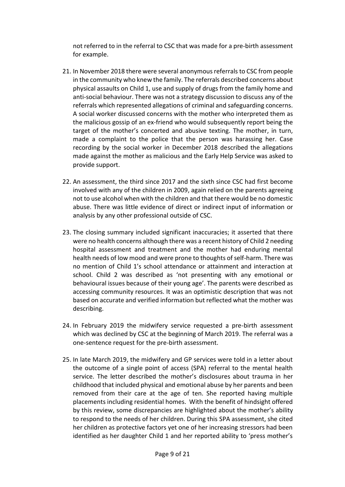not referred to in the referral to CSC that was made for a pre-birth assessment for example.

- 21. In November 2018 there were several anonymous referrals to CSC from people in the community who knew the family. The referrals described concerns about physical assaults on Child 1, use and supply of drugs from the family home and anti-social behaviour. There was not a strategy discussion to discuss any of the referrals which represented allegations of criminal and safeguarding concerns. A social worker discussed concerns with the mother who interpreted them as the malicious gossip of an ex-friend who would subsequently report being the target of the mother's concerted and abusive texting. The mother, in turn, made a complaint to the police that the person was harassing her. Case recording by the social worker in December 2018 described the allegations made against the mother as malicious and the Early Help Service was asked to provide support.
- 22. An assessment, the third since 2017 and the sixth since CSC had first become involved with any of the children in 2009, again relied on the parents agreeing not to use alcohol when with the children and that there would be no domestic abuse. There was little evidence of direct or indirect input of information or analysis by any other professional outside of CSC.
- 23. The closing summary included significant inaccuracies; it asserted that there were no health concerns although there was a recent history of Child 2 needing hospital assessment and treatment and the mother had enduring mental health needs of low mood and were prone to thoughts of self-harm. There was no mention of Child 1's school attendance or attainment and interaction at school. Child 2 was described as 'not presenting with any emotional or behavioural issues because of their young age'. The parents were described as accessing community resources. It was an optimistic description that was not based on accurate and verified information but reflected what the mother was describing.
- 24. In February 2019 the midwifery service requested a pre-birth assessment which was declined by CSC at the beginning of March 2019. The referral was a one-sentence request for the pre-birth assessment.
- 25. In late March 2019, the midwifery and GP services were told in a letter about the outcome of a single point of access (SPA) referral to the mental health service. The letter described the mother's disclosures about trauma in her childhood that included physical and emotional abuse by her parents and been removed from their care at the age of ten. She reported having multiple placements including residential homes. With the benefit of hindsight offered by this review, some discrepancies are highlighted about the mother's ability to respond to the needs of her children. During this SPA assessment, she cited her children as protective factors yet one of her increasing stressors had been identified as her daughter Child 1 and her reported ability to 'press mother's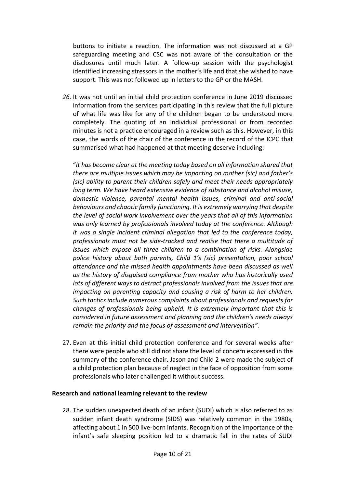buttons to initiate a reaction. The information was not discussed at a GP safeguarding meeting and CSC was not aware of the consultation or the disclosures until much later. A follow-up session with the psychologist identified increasing stressors in the mother's life and that she wished to have support. This was not followed up in letters to the GP or the MASH.

*26.* It was not until an initial child protection conference in June 2019 discussed information from the services participating in this review that the full picture of what life was like for any of the children began to be understood more completely. The quoting of an individual professional or from recorded minutes is not a practice encouraged in a review such as this. However, in this case, the words of the chair of the conference in the record of the ICPC that summarised what had happened at that meeting deserve including:

"*It has become clear at the meeting today based on all information shared that there are multiple issues which may be impacting on mother (sic) and father's (sic) ability to parent their children safely and meet their needs appropriately long term. We have heard extensive evidence of substance and alcohol misuse, domestic violence, parental mental health issues, criminal and anti-social behaviours and chaotic family functioning. It is extremely worrying that despite the level of social work involvement over the years that all of this information was only learned by professionals involved today at the conference. Although it was a single incident criminal allegation that led to the conference today, professionals must not be side-tracked and realise that there a multitude of issues which expose all three children to a combination of risks. Alongside police history about both parents, Child 1's (sic) presentation, poor school attendance and the missed health appointments have been discussed as well as the history of disguised compliance from mother who has historically used lots of different ways to detract professionals involved from the issues that are impacting on parenting capacity and causing a risk of harm to her children. Such tactics include numerous complaints about professionals and requests for changes of professionals being upheld. It is extremely important that this is considered in future assessment and planning and the children's needs always remain the priority and the focus of assessment and intervention".*

27. Even at this initial child protection conference and for several weeks after there were people who still did not share the level of concern expressed in the summary of the conference chair. Jason and Child 2 were made the subject of a child protection plan because of neglect in the face of opposition from some professionals who later challenged it without success.

### <span id="page-9-0"></span>**Research and national learning relevant to the review**

28. The sudden unexpected death of an infant (SUDI) which is also referred to as sudden infant death syndrome (SIDS) was relatively common in the 1980s, affecting about 1 in 500 live-born infants. Recognition of the importance of the infant's safe sleeping position led to a dramatic fall in the rates of SUDI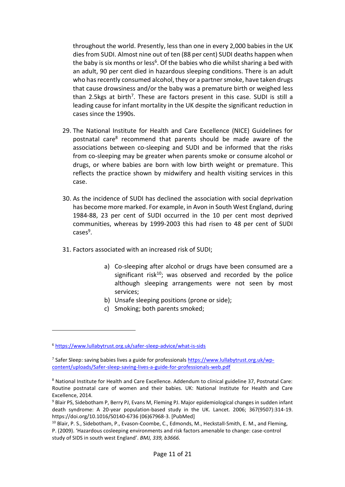throughout the world. Presently, less than one in every 2,000 babies in the UK dies from SUDI. Almost nine out of ten (88 per cent) SUDI deaths happen when the baby is six months or less<sup>6</sup>. Of the babies who die whilst sharing a bed with an adult, 90 per cent died in hazardous sleeping conditions. There is an adult who has recently consumed alcohol, they or a partner smoke, have taken drugs that cause drowsiness and/or the baby was a premature birth or weighed less than 2.5kgs at birth<sup>7</sup>. These are factors present in this case. SUDI is still a leading cause for infant mortality in the UK despite the significant reduction in cases since the 1990s.

- 29. The National Institute for Health and Care Excellence (NICE) Guidelines for postnatal care<sup>8</sup> recommend that parents should be made aware of the associations between co-sleeping and SUDI and be informed that the risks from co-sleeping may be greater when parents smoke or consume alcohol or drugs, or where babies are born with low birth weight or premature. This reflects the practice shown by midwifery and health visiting services in this case.
- 30. As the incidence of SUDI has declined the association with social deprivation has become more marked. For example, in Avon in South West England, during 1984-88, 23 per cent of SUDI occurred in the 10 per cent most deprived communities, whereas by 1999-2003 this had risen to 48 per cent of SUDI cases<sup>9</sup>.
- 31. Factors associated with an increased risk of SUDI;
	- a) Co-sleeping after alcohol or drugs have been consumed are a significant risk<sup>10</sup>; was observed and recorded by the police although sleeping arrangements were not seen by most services;
	- b) Unsafe sleeping positions (prone or side);
	- c) Smoking; both parents smoked;

<sup>6</sup> <https://www.lullabytrust.org.uk/safer-sleep-advice/what-is-sids>

<sup>&</sup>lt;sup>7</sup> Safer Sleep: saving babies lives a guide for professionals <u>https://www.lullabytrust.org.uk/wp-</u> [content/uploads/Safer-sleep-saving-lives-a-guide-for-professionals-web.pdf](https://www.lullabytrust.org.uk/wp-content/uploads/Safer-sleep-saving-lives-a-guide-for-professionals-web.pdf)

<sup>8</sup> National Institute for Health and Care Excellence. Addendum to clinical guideline 37, Postnatal Care: Routine postnatal care of women and their babies. UK: National Institute for Health and Care Excellence, 2014.

<sup>9</sup> Blair PS, Sidebotham P, Berry PJ, Evans M, Fleming PJ. Major epidemiological changes in sudden infant death syndrome: A 20-year population-based study in the UK. Lancet. 2006; 367(9507):314-19. https://doi.org/10.1016/S0140-6736 (06)67968-3. [PubMed]

<sup>&</sup>lt;sup>10</sup> Blair, P. S., Sidebotham, P., Evason-Coombe, C., Edmonds, M., Heckstall-Smith, E. M., and Fleming, P. (2009). 'Hazardous cosleeping environments and risk factors amenable to change: case-control study of SIDS in south west England'. *BMJ, 339, b3666.*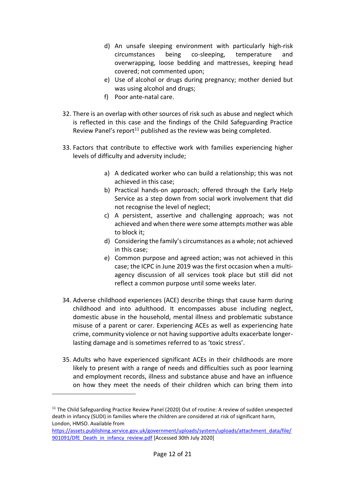- d) An unsafe sleeping environment with particularly high-risk circumstances being co-sleeping, temperature and overwrapping, loose bedding and mattresses, keeping head covered; not commented upon;
- e) Use of alcohol or drugs during pregnancy; mother denied but was using alcohol and drugs;
- f) Poor ante-natal care.
- 32. There is an overlap with other sources of risk such as abuse and neglect which is reflected in this case and the findings of the Child Safeguarding Practice Review Panel's report<sup>11</sup> published as the review was being completed.
- 33. Factors that contribute to effective work with families experiencing higher levels of difficulty and adversity include;
	- a) A dedicated worker who can build a relationship; this was not achieved in this case;
	- b) Practical hands-on approach; offered through the Early Help Service as a step down from social work involvement that did not recognise the level of neglect;
	- c) A persistent, assertive and challenging approach; was not achieved and when there were some attempts mother was able to block it;
	- d) Considering the family's circumstances as a whole; not achieved in this case;
	- e) Common purpose and agreed action; was not achieved in this case; the ICPC in June 2019 was the first occasion when a multiagency discussion of all services took place but still did not reflect a common purpose until some weeks later.
- 34. Adverse childhood experiences (ACE) describe things that cause harm during childhood and into adulthood. It encompasses abuse including neglect, domestic abuse in the household, mental illness and problematic substance misuse of a parent or carer. Experiencing ACEs as well as experiencing hate crime, community violence or not having supportive adults exacerbate longerlasting damage and is sometimes referred to as 'toxic stress'.
- 35. Adults who have experienced significant ACEs in their childhoods are more likely to present with a range of needs and difficulties such as poor learning and employment records, illness and substance abuse and have an influence on how they meet the needs of their children which can bring them into

<sup>&</sup>lt;sup>11</sup> The Child Safeguarding Practice Review Panel (2020) Out of routine: A review of sudden unexpected death in infancy (SUDI) in families where the children are considered at risk of significant harm, London, HMSO. Available from

[https://assets.publishing.service.gov.uk/government/uploads/system/uploads/attachment\\_data/file/](https://assets.publishing.service.gov.uk/government/uploads/system/uploads/attachment_data/file/901091/DfE_Death_in_infancy_review.pdf) [901091/DfE\\_Death\\_in\\_infancy\\_review.pdf](https://assets.publishing.service.gov.uk/government/uploads/system/uploads/attachment_data/file/901091/DfE_Death_in_infancy_review.pdf) [Accessed 30th July 2020]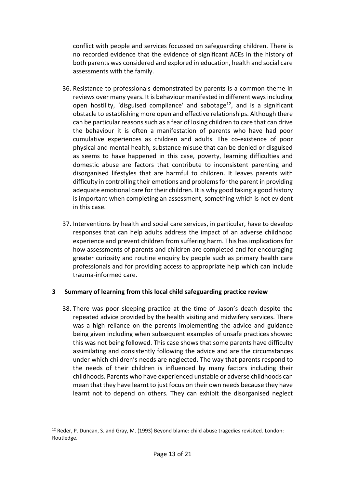conflict with people and services focussed on safeguarding children. There is no recorded evidence that the evidence of significant ACEs in the history of both parents was considered and explored in education, health and social care assessments with the family.

- 36. Resistance to professionals demonstrated by parents is a common theme in reviews over many years. It is behaviour manifested in different ways including open hostility, 'disguised compliance' and sabotage<sup>12</sup>, and is a significant obstacle to establishing more open and effective relationships. Although there can be particular reasons such as a fear of losing children to care that can drive the behaviour it is often a manifestation of parents who have had poor cumulative experiences as children and adults. The co-existence of poor physical and mental health, substance misuse that can be denied or disguised as seems to have happened in this case, poverty, learning difficulties and domestic abuse are factors that contribute to inconsistent parenting and disorganised lifestyles that are harmful to children. It leaves parents with difficulty in controlling their emotions and problems for the parent in providing adequate emotional care for their children. It is why good taking a good history is important when completing an assessment, something which is not evident in this case.
- 37. Interventions by health and social care services, in particular, have to develop responses that can help adults address the impact of an adverse childhood experience and prevent children from suffering harm. This has implications for how assessments of parents and children are completed and for encouraging greater curiosity and routine enquiry by people such as primary health care professionals and for providing access to appropriate help which can include trauma-informed care.

### <span id="page-12-0"></span>**3 Summary of learning from this local child safeguarding practice review**

38. There was poor sleeping practice at the time of Jason's death despite the repeated advice provided by the health visiting and midwifery services. There was a high reliance on the parents implementing the advice and guidance being given including when subsequent examples of unsafe practices showed this was not being followed. This case shows that some parents have difficulty assimilating and consistently following the advice and are the circumstances under which children's needs are neglected. The way that parents respond to the needs of their children is influenced by many factors including their childhoods. Parents who have experienced unstable or adverse childhoods can mean that they have learnt to just focus on their own needs because they have learnt not to depend on others. They can exhibit the disorganised neglect

<sup>&</sup>lt;sup>12</sup> Reder, P. Duncan, S. and Gray, M. (1993) Beyond blame: child abuse tragedies revisited. London: Routledge.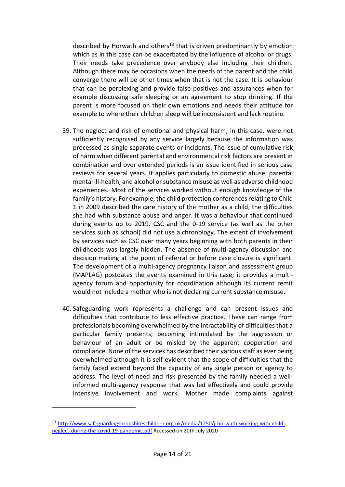described by Horwath and others<sup>13</sup> that is driven predominantly by emotion which as in this case can be exacerbated by the influence of alcohol or drugs. Their needs take precedence over anybody else including their children. Although there may be occasions when the needs of the parent and the child converge there will be other times when that is not the case. It is behaviour that can be perplexing and provide false positives and assurances when for example discussing safe sleeping or an agreement to stop drinking. If the parent is more focused on their own emotions and needs their attitude for example to where their children sleep will be inconsistent and lack routine.

- 39. The neglect and risk of emotional and physical harm, in this case, were not sufficiently recognised by any service largely because the information was processed as single separate events or incidents. The issue of cumulative risk of harm when different parental and environmental risk factors are present in combination and over extended periods is an issue identified in serious case reviews for several years. It applies particularly to domestic abuse, parental mental ill-health, and alcohol or substance misuse as well as adverse childhood experiences. Most of the services worked without enough knowledge of the family's history. For example, the child protection conferences relating to Child 1 in 2009 described the care history of the mother as a child, the difficulties she had with substance abuse and anger. It was a behaviour that continued during events up to 2019. CSC and the 0-19 service (as well as the other services such as school) did not use a chronology. The extent of involvement by services such as CSC over many years beginning with both parents in their childhoods was largely hidden. The absence of multi-agency discussion and decision making at the point of referral or before case closure is significant. The development of a multi-agency pregnancy liaison and assessment group (MAPLAG) postdates the events examined in this case; it provides a multiagency forum and opportunity for coordination although its current remit would not include a mother who is not declaring current substance misuse.
- 40. Safeguarding work represents a challenge and can present issues and difficulties that contribute to less effective practice. These can range from professionals becoming overwhelmed by the intractability of difficulties that a particular family presents; becoming intimidated by the aggression or behaviour of an adult or be misled by the apparent cooperation and compliance. None of the services has described their various staff as ever being overwhelmed although it is self-evident that the scope of difficulties that the family faced extend beyond the capacity of any single person or agency to address. The level of need and risk presented by the family needed a wellinformed multi-agency response that was led effectively and could provide intensive involvement and work. Mother made complaints against

<sup>13</sup> [http://www.safeguardingshropshireschildren.org.uk/media/1250/j-horwath-working-with-child](http://www.safeguardingshropshireschildren.org.uk/media/1250/j-horwath-working-with-child-neglect-during-the-covid-19-pandemic.pdf)[neglect-during-the-covid-19-pandemic.pdf](http://www.safeguardingshropshireschildren.org.uk/media/1250/j-horwath-working-with-child-neglect-during-the-covid-19-pandemic.pdf) Accessed on 20th July 2020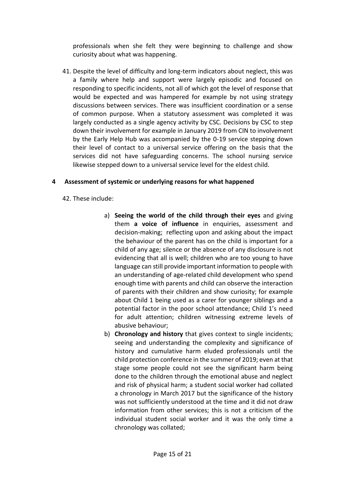professionals when she felt they were beginning to challenge and show curiosity about what was happening.

41. Despite the level of difficulty and long-term indicators about neglect, this was a family where help and support were largely episodic and focused on responding to specific incidents, not all of which got the level of response that would be expected and was hampered for example by not using strategy discussions between services. There was insufficient coordination or a sense of common purpose. When a statutory assessment was completed it was largely conducted as a single agency activity by CSC. Decisions by CSC to step down their involvement for example in January 2019 from CIN to involvement by the Early Help Hub was accompanied by the 0-19 service stepping down their level of contact to a universal service offering on the basis that the services did not have safeguarding concerns. The school nursing service likewise stepped down to a universal service level for the eldest child.

## <span id="page-14-0"></span>**4 Assessment of systemic or underlying reasons for what happened**

- 42. These include:
	- a) **Seeing the world of the child through their eyes** and giving them **a voice of influence** in enquiries, assessment and decision-making; reflecting upon and asking about the impact the behaviour of the parent has on the child is important for a child of any age; silence or the absence of any disclosure is not evidencing that all is well; children who are too young to have language can still provide important information to people with an understanding of age-related child development who spend enough time with parents and child can observe the interaction of parents with their children and show curiosity; for example about Child 1 being used as a carer for younger siblings and a potential factor in the poor school attendance; Child 1's need for adult attention; children witnessing extreme levels of abusive behaviour;
	- b) **Chronology and history** that gives context to single incidents; seeing and understanding the complexity and significance of history and cumulative harm eluded professionals until the child protection conference in the summer of 2019; even at that stage some people could not see the significant harm being done to the children through the emotional abuse and neglect and risk of physical harm; a student social worker had collated a chronology in March 2017 but the significance of the history was not sufficiently understood at the time and it did not draw information from other services; this is not a criticism of the individual student social worker and it was the only time a chronology was collated;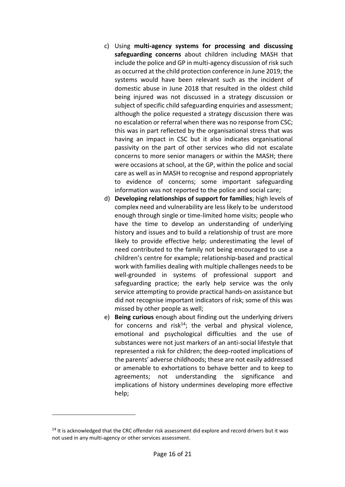- c) Using **multi-agency systems for processing and discussing safeguarding concerns** about children including MASH that include the police and GP in multi-agency discussion of risk such as occurred at the child protection conference in June 2019; the systems would have been relevant such as the incident of domestic abuse in June 2018 that resulted in the oldest child being injured was not discussed in a strategy discussion or subject of specific child safeguarding enquiries and assessment; although the police requested a strategy discussion there was no escalation or referral when there was no response from CSC; this was in part reflected by the organisational stress that was having an impact in CSC but it also indicates organisational passivity on the part of other services who did not escalate concerns to more senior managers or within the MASH; there were occasions at school, at the GP, within the police and social care as well as in MASH to recognise and respond appropriately to evidence of concerns; some important safeguarding information was not reported to the police and social care;
- d) **Developing relationships of support for families**; high levels of complex need and vulnerability are less likely to be understood enough through single or time-limited home visits; people who have the time to develop an understanding of underlying history and issues and to build a relationship of trust are more likely to provide effective help; underestimating the level of need contributed to the family not being encouraged to use a children's centre for example; relationship-based and practical work with families dealing with multiple challenges needs to be well-grounded in systems of professional support and safeguarding practice; the early help service was the only service attempting to provide practical hands-on assistance but did not recognise important indicators of risk; some of this was missed by other people as well;
- e) **Being curious** enough about finding out the underlying drivers for concerns and risk<sup>14</sup>; the verbal and physical violence, emotional and psychological difficulties and the use of substances were not just markers of an anti-social lifestyle that represented a risk for children; the deep-rooted implications of the parents' adverse childhoods; these are not easily addressed or amenable to exhortations to behave better and to keep to agreements; not understanding the significance and implications of history undermines developing more effective help;

<sup>&</sup>lt;sup>14</sup> It is acknowledged that the CRC offender risk assessment did explore and record drivers but it was not used in any multi-agency or other services assessment.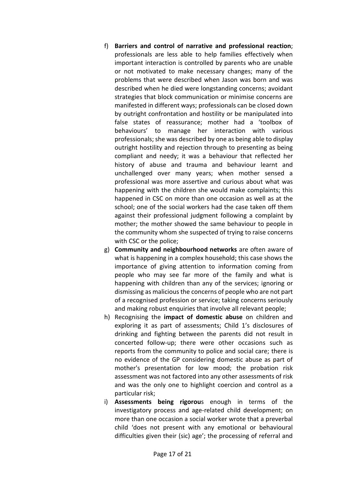- f) **Barriers and control of narrative and professional reaction**; professionals are less able to help families effectively when important interaction is controlled by parents who are unable or not motivated to make necessary changes; many of the problems that were described when Jason was born and was described when he died were longstanding concerns; avoidant strategies that block communication or minimise concerns are manifested in different ways; professionals can be closed down by outright confrontation and hostility or be manipulated into false states of reassurance; mother had a 'toolbox of behaviours' to manage her interaction with various professionals; she was described by one as being able to display outright hostility and rejection through to presenting as being compliant and needy; it was a behaviour that reflected her history of abuse and trauma and behaviour learnt and unchallenged over many years; when mother sensed a professional was more assertive and curious about what was happening with the children she would make complaints; this happened in CSC on more than one occasion as well as at the school; one of the social workers had the case taken off them against their professional judgment following a complaint by mother; the mother showed the same behaviour to people in the community whom she suspected of trying to raise concerns with CSC or the police;
- g) **Community and neighbourhood networks** are often aware of what is happening in a complex household; this case shows the importance of giving attention to information coming from people who may see far more of the family and what is happening with children than any of the services; ignoring or dismissing as malicious the concerns of people who are not part of a recognised profession or service; taking concerns seriously and making robust enquiries that involve all relevant people;
- h) Recognising the **impact of domestic abuse** on children and exploring it as part of assessments; Child 1's disclosures of drinking and fighting between the parents did not result in concerted follow-up; there were other occasions such as reports from the community to police and social care; there is no evidence of the GP considering domestic abuse as part of mother's presentation for low mood; the probation risk assessment was not factored into any other assessments of risk and was the only one to highlight coercion and control as a particular risk;
- i) **Assessments being rigorou**s enough in terms of the investigatory process and age-related child development; on more than one occasion a social worker wrote that a preverbal child 'does not present with any emotional or behavioural difficulties given their (sic) age'; the processing of referral and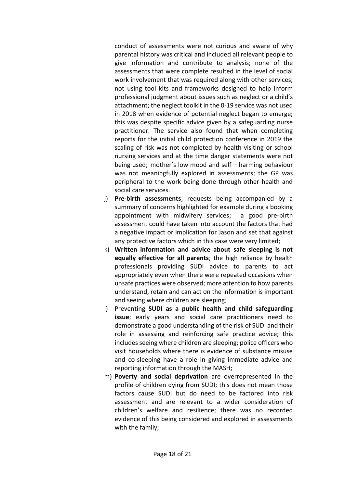conduct of assessments were not curious and aware of why parental history was critical and included all relevant people to give information and contribute to analysis; none of the assessments that were complete resulted in the level of social work involvement that was required along with other services; not using tool kits and frameworks designed to help inform professional judgment about issues such as neglect or a child's attachment; the neglect toolkit in the 0-19 service was not used in 2018 when evidence of potential neglect began to emerge; this was despite specific advice given by a safeguarding nurse practitioner. The service also found that when completing reports for the initial child protection conference in 2019 the scaling of risk was not completed by health visiting or school nursing services and at the time danger statements were not being used; mother's low mood and self – harming behaviour was not meaningfully explored in assessments; the GP was peripheral to the work being done through other health and social care services.

- j) **Pre-birth assessments**; requests being accompanied by a summary of concerns highlighted for example during a booking appointment with midwifery services; a good pre-birth assessment could have taken into account the factors that had a negative impact or implication for Jason and set that against any protective factors which in this case were very limited;
- k) **Written information and advice about safe sleeping is not equally effective for all parents**; the high reliance by health professionals providing SUDI advice to parents to act appropriately even when there were repeated occasions when unsafe practices were observed; more attention to how parents understand, retain and can act on the information is important and seeing where children are sleeping;
- l) Preventing **SUDI as a public health and child safeguarding issue**; early years and social care practitioners need to demonstrate a good understanding of the risk of SUDI and their role in assessing and reinforcing safe practice advice; this includes seeing where children are sleeping; police officers who visit households where there is evidence of substance misuse and co-sleeping have a role in giving immediate advice and reporting information through the MASH;
- m) **Poverty and social deprivation** are overrepresented in the profile of children dying from SUDI; this does not mean those factors cause SUDI but do need to be factored into risk assessment and are relevant to a wider consideration of children's welfare and resilience; there was no recorded evidence of this being considered and explored in assessments with the family;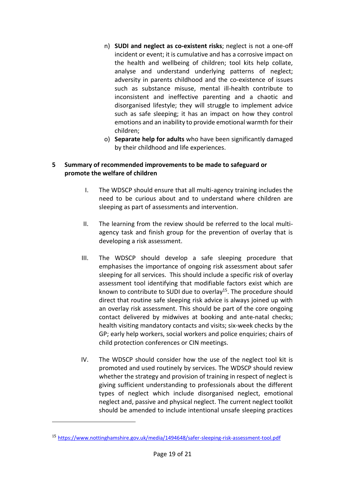- n) **SUDI and neglect as co-existent risks**; neglect is not a one-off incident or event; it is cumulative and has a corrosive impact on the health and wellbeing of children; tool kits help collate, analyse and understand underlying patterns of neglect; adversity in parents childhood and the co-existence of issues such as substance misuse, mental ill-health contribute to inconsistent and ineffective parenting and a chaotic and disorganised lifestyle; they will struggle to implement advice such as safe sleeping; it has an impact on how they control emotions and an inability to provide emotional warmth for their children;
- o) **Separate help for adults** who have been significantly damaged by their childhood and life experiences.

### <span id="page-18-0"></span>**5 Summary of recommended improvements to be made to safeguard or promote the welfare of children**

- I. The WDSCP should ensure that all multi-agency training includes the need to be curious about and to understand where children are sleeping as part of assessments and intervention.
- II. The learning from the review should be referred to the local multiagency task and finish group for the prevention of overlay that is developing a risk assessment.
- III. The WDSCP should develop a safe sleeping procedure that emphasises the importance of ongoing risk assessment about safer sleeping for all services. This should include a specific risk of overlay assessment tool identifying that modifiable factors exist which are known to contribute to SUDI due to overlay<sup>15</sup>. The procedure should direct that routine safe sleeping risk advice is always joined up with an overlay risk assessment. This should be part of the core ongoing contact delivered by midwives at booking and ante-natal checks; health visiting mandatory contacts and visits; six-week checks by the GP; early help workers, social workers and police enquiries; chairs of child protection conferences or CIN meetings.
- IV. The WDSCP should consider how the use of the neglect tool kit is promoted and used routinely by services. The WDSCP should review whether the strategy and provision of training in respect of neglect is giving sufficient understanding to professionals about the different types of neglect which include disorganised neglect, emotional neglect and, passive and physical neglect. The current neglect toolkit should be amended to include intentional unsafe sleeping practices

<sup>15</sup> <https://www.nottinghamshire.gov.uk/media/1494648/safer-sleeping-risk-assessment-tool.pdf>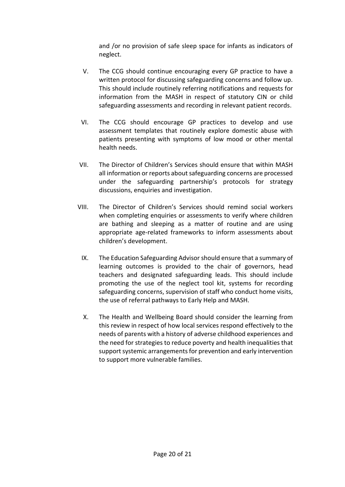and /or no provision of safe sleep space for infants as indicators of neglect.

- V. The CCG should continue encouraging every GP practice to have a written protocol for discussing safeguarding concerns and follow up. This should include routinely referring notifications and requests for information from the MASH in respect of statutory CIN or child safeguarding assessments and recording in relevant patient records.
- VI. The CCG should encourage GP practices to develop and use assessment templates that routinely explore domestic abuse with patients presenting with symptoms of low mood or other mental health needs.
- VII. The Director of Children's Services should ensure that within MASH all information or reports about safeguarding concerns are processed under the safeguarding partnership's protocols for strategy discussions, enquiries and investigation.
- VIII. The Director of Children's Services should remind social workers when completing enquiries or assessments to verify where children are bathing and sleeping as a matter of routine and are using appropriate age-related frameworks to inform assessments about children's development.
	- IX. The Education Safeguarding Advisor should ensure that a summary of learning outcomes is provided to the chair of governors, head teachers and designated safeguarding leads. This should include promoting the use of the neglect tool kit, systems for recording safeguarding concerns, supervision of staff who conduct home visits, the use of referral pathways to Early Help and MASH.
	- X. The Health and Wellbeing Board should consider the learning from this review in respect of how local services respond effectively to the needs of parents with a history of adverse childhood experiences and the need for strategies to reduce poverty and health inequalities that support systemic arrangements for prevention and early intervention to support more vulnerable families.